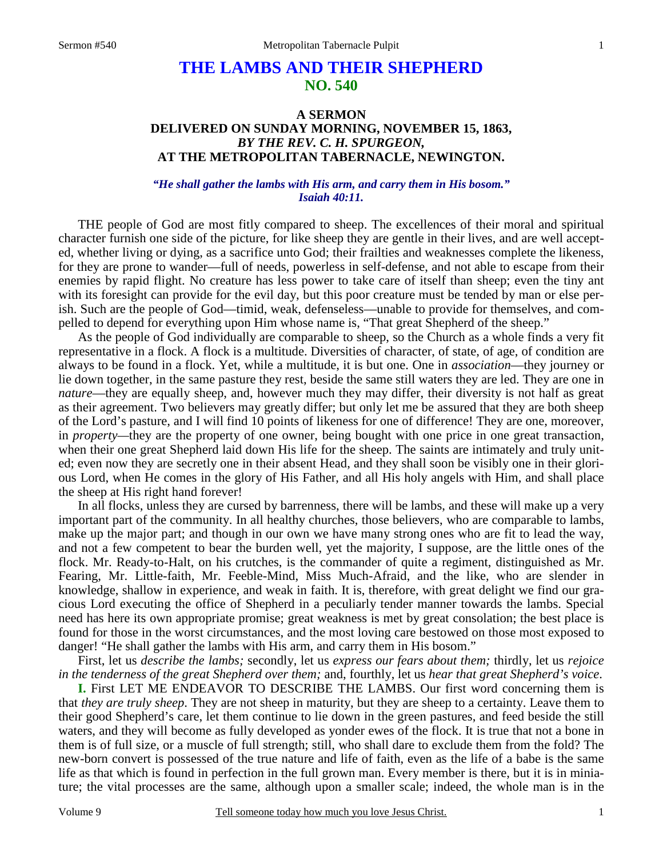## **THE LAMBS AND THEIR SHEPHERD NO. 540**

## **A SERMON DELIVERED ON SUNDAY MORNING, NOVEMBER 15, 1863,**  *BY THE REV. C. H. SPURGEON,*  **AT THE METROPOLITAN TABERNACLE, NEWINGTON.**

## *"He shall gather the lambs with His arm, and carry them in His bosom." Isaiah 40:11.*

THE people of God are most fitly compared to sheep. The excellences of their moral and spiritual character furnish one side of the picture, for like sheep they are gentle in their lives, and are well accepted, whether living or dying, as a sacrifice unto God; their frailties and weaknesses complete the likeness, for they are prone to wander—full of needs, powerless in self-defense, and not able to escape from their enemies by rapid flight. No creature has less power to take care of itself than sheep; even the tiny ant with its foresight can provide for the evil day, but this poor creature must be tended by man or else perish. Such are the people of God—timid, weak, defenseless—unable to provide for themselves, and compelled to depend for everything upon Him whose name is, "That great Shepherd of the sheep."

As the people of God individually are comparable to sheep, so the Church as a whole finds a very fit representative in a flock. A flock is a multitude. Diversities of character, of state, of age, of condition are always to be found in a flock. Yet, while a multitude, it is but one. One in *association*—they journey or lie down together, in the same pasture they rest, beside the same still waters they are led. They are one in *nature*—they are equally sheep, and, however much they may differ, their diversity is not half as great as their agreement. Two believers may greatly differ; but only let me be assured that they are both sheep of the Lord's pasture, and I will find 10 points of likeness for one of difference! They are one, moreover, in *property—*they are the property of one owner, being bought with one price in one great transaction, when their one great Shepherd laid down His life for the sheep. The saints are intimately and truly united; even now they are secretly one in their absent Head, and they shall soon be visibly one in their glorious Lord, when He comes in the glory of His Father, and all His holy angels with Him, and shall place the sheep at His right hand forever!

In all flocks, unless they are cursed by barrenness, there will be lambs, and these will make up a very important part of the community. In all healthy churches, those believers, who are comparable to lambs, make up the major part; and though in our own we have many strong ones who are fit to lead the way, and not a few competent to bear the burden well, yet the majority, I suppose, are the little ones of the flock. Mr. Ready-to-Halt, on his crutches, is the commander of quite a regiment, distinguished as Mr. Fearing, Mr. Little-faith, Mr. Feeble-Mind, Miss Much-Afraid, and the like, who are slender in knowledge, shallow in experience, and weak in faith. It is, therefore, with great delight we find our gracious Lord executing the office of Shepherd in a peculiarly tender manner towards the lambs. Special need has here its own appropriate promise; great weakness is met by great consolation; the best place is found for those in the worst circumstances, and the most loving care bestowed on those most exposed to danger! "He shall gather the lambs with His arm, and carry them in His bosom."

First, let us *describe the lambs;* secondly, let us *express our fears about them;* thirdly, let us *rejoice in the tenderness of the great Shepherd over them;* and, fourthly, let us *hear that great Shepherd's voice*.

**I.** First LET ME ENDEAVOR TO DESCRIBE THE LAMBS. Our first word concerning them is that *they are truly sheep*. They are not sheep in maturity, but they are sheep to a certainty. Leave them to their good Shepherd's care, let them continue to lie down in the green pastures, and feed beside the still waters, and they will become as fully developed as yonder ewes of the flock. It is true that not a bone in them is of full size, or a muscle of full strength; still, who shall dare to exclude them from the fold? The new-born convert is possessed of the true nature and life of faith, even as the life of a babe is the same life as that which is found in perfection in the full grown man. Every member is there, but it is in miniature; the vital processes are the same, although upon a smaller scale; indeed, the whole man is in the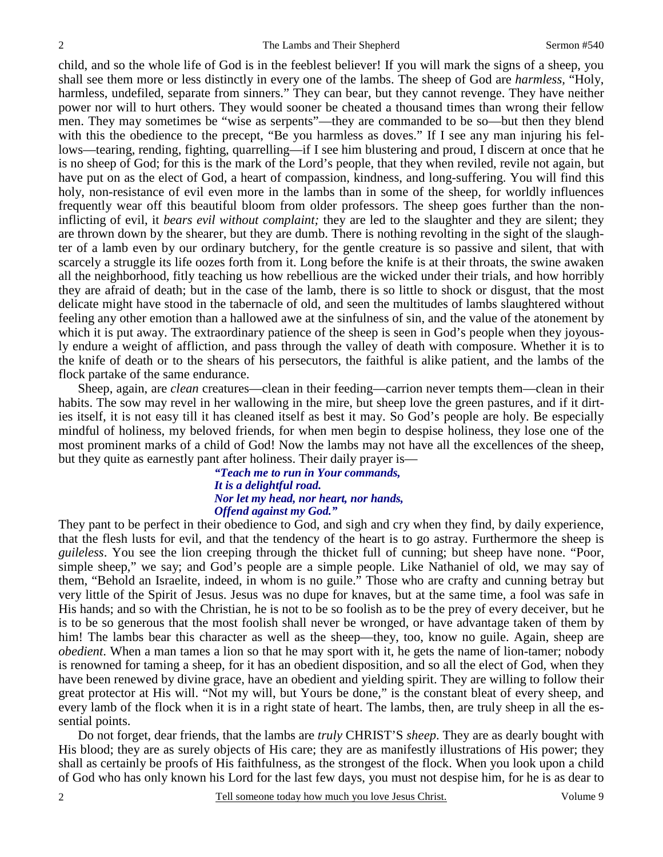child, and so the whole life of God is in the feeblest believer! If you will mark the signs of a sheep, you shall see them more or less distinctly in every one of the lambs. The sheep of God are *harmless,* "Holy, harmless, undefiled, separate from sinners." They can bear, but they cannot revenge. They have neither power nor will to hurt others. They would sooner be cheated a thousand times than wrong their fellow men. They may sometimes be "wise as serpents"—they are commanded to be so—but then they blend with this the obedience to the precept, "Be you harmless as doves." If I see any man injuring his fellows—tearing, rending, fighting, quarrelling—if I see him blustering and proud, I discern at once that he is no sheep of God; for this is the mark of the Lord's people, that they when reviled, revile not again, but have put on as the elect of God, a heart of compassion, kindness, and long-suffering. You will find this holy, non-resistance of evil even more in the lambs than in some of the sheep, for worldly influences frequently wear off this beautiful bloom from older professors. The sheep goes further than the noninflicting of evil, it *bears evil without complaint;* they are led to the slaughter and they are silent; they are thrown down by the shearer, but they are dumb. There is nothing revolting in the sight of the slaughter of a lamb even by our ordinary butchery, for the gentle creature is so passive and silent, that with scarcely a struggle its life oozes forth from it. Long before the knife is at their throats, the swine awaken all the neighborhood, fitly teaching us how rebellious are the wicked under their trials, and how horribly they are afraid of death; but in the case of the lamb, there is so little to shock or disgust, that the most delicate might have stood in the tabernacle of old, and seen the multitudes of lambs slaughtered without feeling any other emotion than a hallowed awe at the sinfulness of sin, and the value of the atonement by which it is put away. The extraordinary patience of the sheep is seen in God's people when they joyously endure a weight of affliction, and pass through the valley of death with composure. Whether it is to the knife of death or to the shears of his persecutors, the faithful is alike patient, and the lambs of the flock partake of the same endurance.

Sheep, again, are *clean* creatures—clean in their feeding—carrion never tempts them—clean in their habits. The sow may revel in her wallowing in the mire, but sheep love the green pastures, and if it dirties itself, it is not easy till it has cleaned itself as best it may. So God's people are holy. Be especially mindful of holiness, my beloved friends, for when men begin to despise holiness, they lose one of the most prominent marks of a child of God! Now the lambs may not have all the excellences of the sheep, but they quite as earnestly pant after holiness. Their daily prayer is—

*"Teach me to run in Your commands, It is a delightful road. Nor let my head, nor heart, nor hands, Offend against my God."* 

They pant to be perfect in their obedience to God, and sigh and cry when they find, by daily experience, that the flesh lusts for evil, and that the tendency of the heart is to go astray. Furthermore the sheep is *guileless*. You see the lion creeping through the thicket full of cunning; but sheep have none. "Poor, simple sheep," we say; and God's people are a simple people. Like Nathaniel of old, we may say of them, "Behold an Israelite, indeed, in whom is no guile." Those who are crafty and cunning betray but very little of the Spirit of Jesus. Jesus was no dupe for knaves, but at the same time, a fool was safe in His hands; and so with the Christian, he is not to be so foolish as to be the prey of every deceiver, but he is to be so generous that the most foolish shall never be wronged, or have advantage taken of them by him! The lambs bear this character as well as the sheep—they, too, know no guile. Again, sheep are *obedient*. When a man tames a lion so that he may sport with it, he gets the name of lion-tamer; nobody is renowned for taming a sheep, for it has an obedient disposition, and so all the elect of God, when they have been renewed by divine grace, have an obedient and yielding spirit. They are willing to follow their great protector at His will. "Not my will, but Yours be done," is the constant bleat of every sheep, and every lamb of the flock when it is in a right state of heart. The lambs, then, are truly sheep in all the essential points.

Do not forget, dear friends, that the lambs are *truly* CHRIST'S *sheep*. They are as dearly bought with His blood; they are as surely objects of His care; they are as manifestly illustrations of His power; they shall as certainly be proofs of His faithfulness, as the strongest of the flock. When you look upon a child of God who has only known his Lord for the last few days, you must not despise him, for he is as dear to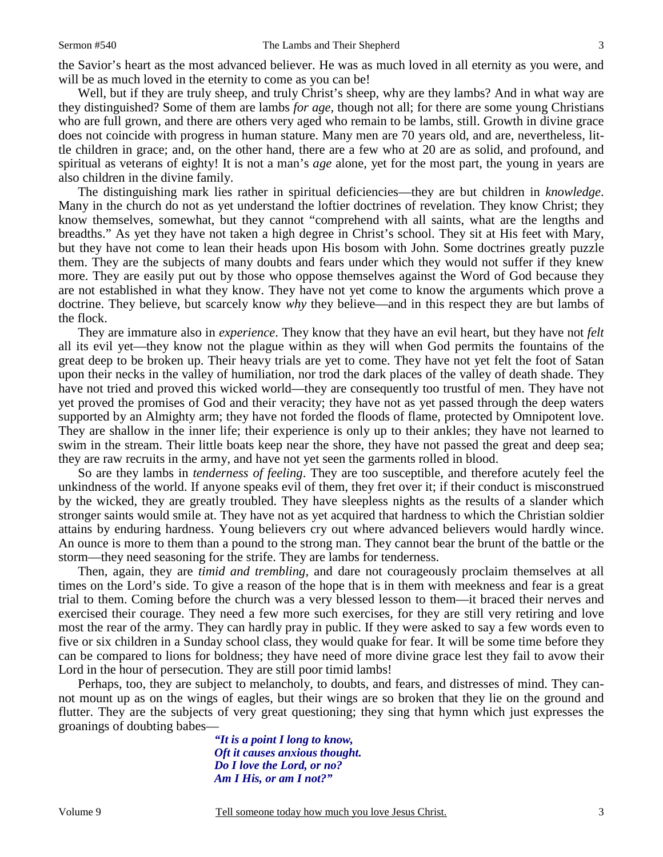Well, but if they are truly sheep, and truly Christ's sheep, why are they lambs? And in what way are they distinguished? Some of them are lambs *for age,* though not all; for there are some young Christians who are full grown, and there are others very aged who remain to be lambs, still. Growth in divine grace does not coincide with progress in human stature. Many men are 70 years old, and are, nevertheless, little children in grace; and, on the other hand, there are a few who at 20 are as solid, and profound, and spiritual as veterans of eighty! It is not a man's *age* alone, yet for the most part, the young in years are also children in the divine family.

The distinguishing mark lies rather in spiritual deficiencies—they are but children in *knowledge*. Many in the church do not as yet understand the loftier doctrines of revelation. They know Christ; they know themselves, somewhat, but they cannot "comprehend with all saints, what are the lengths and breadths." As yet they have not taken a high degree in Christ's school. They sit at His feet with Mary, but they have not come to lean their heads upon His bosom with John. Some doctrines greatly puzzle them. They are the subjects of many doubts and fears under which they would not suffer if they knew more. They are easily put out by those who oppose themselves against the Word of God because they are not established in what they know. They have not yet come to know the arguments which prove a doctrine. They believe, but scarcely know *why* they believe—and in this respect they are but lambs of the flock.

They are immature also in *experience*. They know that they have an evil heart, but they have not *felt*  all its evil yet—they know not the plague within as they will when God permits the fountains of the great deep to be broken up. Their heavy trials are yet to come. They have not yet felt the foot of Satan upon their necks in the valley of humiliation, nor trod the dark places of the valley of death shade. They have not tried and proved this wicked world—they are consequently too trustful of men. They have not yet proved the promises of God and their veracity; they have not as yet passed through the deep waters supported by an Almighty arm; they have not forded the floods of flame, protected by Omnipotent love. They are shallow in the inner life; their experience is only up to their ankles; they have not learned to swim in the stream. Their little boats keep near the shore, they have not passed the great and deep sea; they are raw recruits in the army, and have not yet seen the garments rolled in blood.

So are they lambs in *tenderness of feeling*. They are too susceptible, and therefore acutely feel the unkindness of the world. If anyone speaks evil of them, they fret over it; if their conduct is misconstrued by the wicked, they are greatly troubled. They have sleepless nights as the results of a slander which stronger saints would smile at. They have not as yet acquired that hardness to which the Christian soldier attains by enduring hardness. Young believers cry out where advanced believers would hardly wince. An ounce is more to them than a pound to the strong man. They cannot bear the brunt of the battle or the storm—they need seasoning for the strife. They are lambs for tenderness.

Then, again, they are *timid and trembling,* and dare not courageously proclaim themselves at all times on the Lord's side. To give a reason of the hope that is in them with meekness and fear is a great trial to them. Coming before the church was a very blessed lesson to them—it braced their nerves and exercised their courage. They need a few more such exercises, for they are still very retiring and love most the rear of the army. They can hardly pray in public. If they were asked to say a few words even to five or six children in a Sunday school class, they would quake for fear. It will be some time before they can be compared to lions for boldness; they have need of more divine grace lest they fail to avow their Lord in the hour of persecution. They are still poor timid lambs!

Perhaps, too, they are subject to melancholy, to doubts, and fears, and distresses of mind. They cannot mount up as on the wings of eagles, but their wings are so broken that they lie on the ground and flutter. They are the subjects of very great questioning; they sing that hymn which just expresses the groanings of doubting babes—

> *"It is a point I long to know, Oft it causes anxious thought. Do I love the Lord, or no? Am I His, or am I not?"*

3

Volume 9 Tell someone today how much you love Jesus Christ.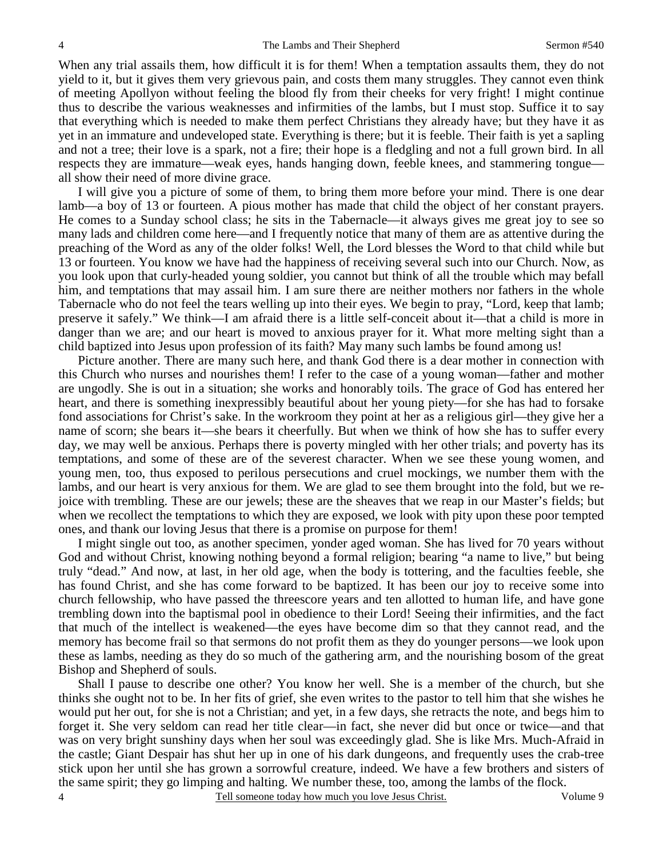When any trial assails them, how difficult it is for them! When a temptation assaults them, they do not yield to it, but it gives them very grievous pain, and costs them many struggles. They cannot even think of meeting Apollyon without feeling the blood fly from their cheeks for very fright! I might continue thus to describe the various weaknesses and infirmities of the lambs, but I must stop. Suffice it to say that everything which is needed to make them perfect Christians they already have; but they have it as yet in an immature and undeveloped state. Everything is there; but it is feeble. Their faith is yet a sapling and not a tree; their love is a spark, not a fire; their hope is a fledgling and not a full grown bird. In all respects they are immature—weak eyes, hands hanging down, feeble knees, and stammering tongue all show their need of more divine grace.

I will give you a picture of some of them, to bring them more before your mind. There is one dear lamb—a boy of 13 or fourteen. A pious mother has made that child the object of her constant prayers. He comes to a Sunday school class; he sits in the Tabernacle—it always gives me great joy to see so many lads and children come here—and I frequently notice that many of them are as attentive during the preaching of the Word as any of the older folks! Well, the Lord blesses the Word to that child while but 13 or fourteen. You know we have had the happiness of receiving several such into our Church. Now, as you look upon that curly-headed young soldier, you cannot but think of all the trouble which may befall him, and temptations that may assail him. I am sure there are neither mothers nor fathers in the whole Tabernacle who do not feel the tears welling up into their eyes. We begin to pray, "Lord, keep that lamb; preserve it safely." We think—I am afraid there is a little self-conceit about it—that a child is more in danger than we are; and our heart is moved to anxious prayer for it. What more melting sight than a child baptized into Jesus upon profession of its faith? May many such lambs be found among us!

Picture another. There are many such here, and thank God there is a dear mother in connection with this Church who nurses and nourishes them! I refer to the case of a young woman—father and mother are ungodly. She is out in a situation; she works and honorably toils. The grace of God has entered her heart, and there is something inexpressibly beautiful about her young piety—for she has had to forsake fond associations for Christ's sake. In the workroom they point at her as a religious girl—they give her a name of scorn; she bears it—she bears it cheerfully. But when we think of how she has to suffer every day, we may well be anxious. Perhaps there is poverty mingled with her other trials; and poverty has its temptations, and some of these are of the severest character. When we see these young women, and young men, too, thus exposed to perilous persecutions and cruel mockings, we number them with the lambs, and our heart is very anxious for them. We are glad to see them brought into the fold, but we rejoice with trembling. These are our jewels; these are the sheaves that we reap in our Master's fields; but when we recollect the temptations to which they are exposed, we look with pity upon these poor tempted ones, and thank our loving Jesus that there is a promise on purpose for them!

I might single out too, as another specimen, yonder aged woman. She has lived for 70 years without God and without Christ, knowing nothing beyond a formal religion; bearing "a name to live," but being truly "dead." And now, at last, in her old age, when the body is tottering, and the faculties feeble, she has found Christ, and she has come forward to be baptized. It has been our joy to receive some into church fellowship, who have passed the threescore years and ten allotted to human life, and have gone trembling down into the baptismal pool in obedience to their Lord! Seeing their infirmities, and the fact that much of the intellect is weakened—the eyes have become dim so that they cannot read, and the memory has become frail so that sermons do not profit them as they do younger persons—we look upon these as lambs, needing as they do so much of the gathering arm, and the nourishing bosom of the great Bishop and Shepherd of souls.

4 Shall I pause to describe one other? You know her well. She is a member of the church, but she thinks she ought not to be. In her fits of grief, she even writes to the pastor to tell him that she wishes he would put her out, for she is not a Christian; and yet, in a few days, she retracts the note, and begs him to forget it. She very seldom can read her title clear—in fact, she never did but once or twice—and that was on very bright sunshiny days when her soul was exceedingly glad. She is like Mrs. Much-Afraid in the castle; Giant Despair has shut her up in one of his dark dungeons, and frequently uses the crab-tree stick upon her until she has grown a sorrowful creature, indeed. We have a few brothers and sisters of the same spirit; they go limping and halting. We number these, too, among the lambs of the flock.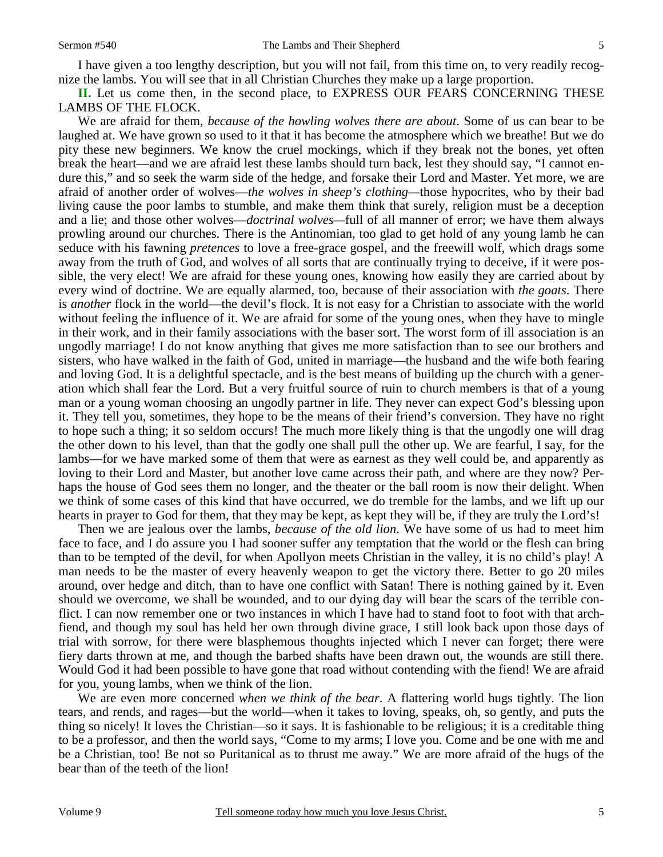I have given a too lengthy description, but you will not fail, from this time on, to very readily recognize the lambs. You will see that in all Christian Churches they make up a large proportion.

**II.** Let us come then, in the second place, to EXPRESS OUR FEARS CONCERNING THESE LAMBS OF THE FLOCK.

We are afraid for them, *because of the howling wolves there are about*. Some of us can bear to be laughed at. We have grown so used to it that it has become the atmosphere which we breathe! But we do pity these new beginners. We know the cruel mockings, which if they break not the bones, yet often break the heart—and we are afraid lest these lambs should turn back, lest they should say, "I cannot endure this," and so seek the warm side of the hedge, and forsake their Lord and Master. Yet more, we are afraid of another order of wolves—*the wolves in sheep's clothing—*those hypocrites, who by their bad living cause the poor lambs to stumble, and make them think that surely, religion must be a deception and a lie; and those other wolves—*doctrinal wolves—*full of all manner of error; we have them always prowling around our churches. There is the Antinomian, too glad to get hold of any young lamb he can seduce with his fawning *pretences* to love a free-grace gospel, and the freewill wolf, which drags some away from the truth of God, and wolves of all sorts that are continually trying to deceive, if it were possible, the very elect! We are afraid for these young ones, knowing how easily they are carried about by every wind of doctrine. We are equally alarmed, too, because of their association with *the goats*. There is *another* flock in the world—the devil's flock. It is not easy for a Christian to associate with the world without feeling the influence of it. We are afraid for some of the young ones, when they have to mingle in their work, and in their family associations with the baser sort. The worst form of ill association is an ungodly marriage! I do not know anything that gives me more satisfaction than to see our brothers and sisters, who have walked in the faith of God, united in marriage—the husband and the wife both fearing and loving God. It is a delightful spectacle, and is the best means of building up the church with a generation which shall fear the Lord. But a very fruitful source of ruin to church members is that of a young man or a young woman choosing an ungodly partner in life. They never can expect God's blessing upon it. They tell you, sometimes, they hope to be the means of their friend's conversion. They have no right to hope such a thing; it so seldom occurs! The much more likely thing is that the ungodly one will drag the other down to his level, than that the godly one shall pull the other up. We are fearful, I say, for the lambs—for we have marked some of them that were as earnest as they well could be, and apparently as loving to their Lord and Master, but another love came across their path, and where are they now? Perhaps the house of God sees them no longer, and the theater or the ball room is now their delight. When we think of some cases of this kind that have occurred, we do tremble for the lambs, and we lift up our hearts in prayer to God for them, that they may be kept, as kept they will be, if they are truly the Lord's!

Then we are jealous over the lambs, *because of the old lion*. We have some of us had to meet him face to face, and I do assure you I had sooner suffer any temptation that the world or the flesh can bring than to be tempted of the devil, for when Apollyon meets Christian in the valley, it is no child's play! A man needs to be the master of every heavenly weapon to get the victory there. Better to go 20 miles around, over hedge and ditch, than to have one conflict with Satan! There is nothing gained by it. Even should we overcome, we shall be wounded, and to our dying day will bear the scars of the terrible conflict. I can now remember one or two instances in which I have had to stand foot to foot with that archfiend, and though my soul has held her own through divine grace, I still look back upon those days of trial with sorrow, for there were blasphemous thoughts injected which I never can forget; there were fiery darts thrown at me, and though the barbed shafts have been drawn out, the wounds are still there. Would God it had been possible to have gone that road without contending with the fiend! We are afraid for you, young lambs, when we think of the lion.

We are even more concerned *when we think of the bear*. A flattering world hugs tightly. The lion tears, and rends, and rages—but the world—when it takes to loving, speaks, oh, so gently, and puts the thing so nicely! It loves the Christian—so it says. It is fashionable to be religious; it is a creditable thing to be a professor, and then the world says, "Come to my arms; I love you. Come and be one with me and be a Christian, too! Be not so Puritanical as to thrust me away." We are more afraid of the hugs of the bear than of the teeth of the lion!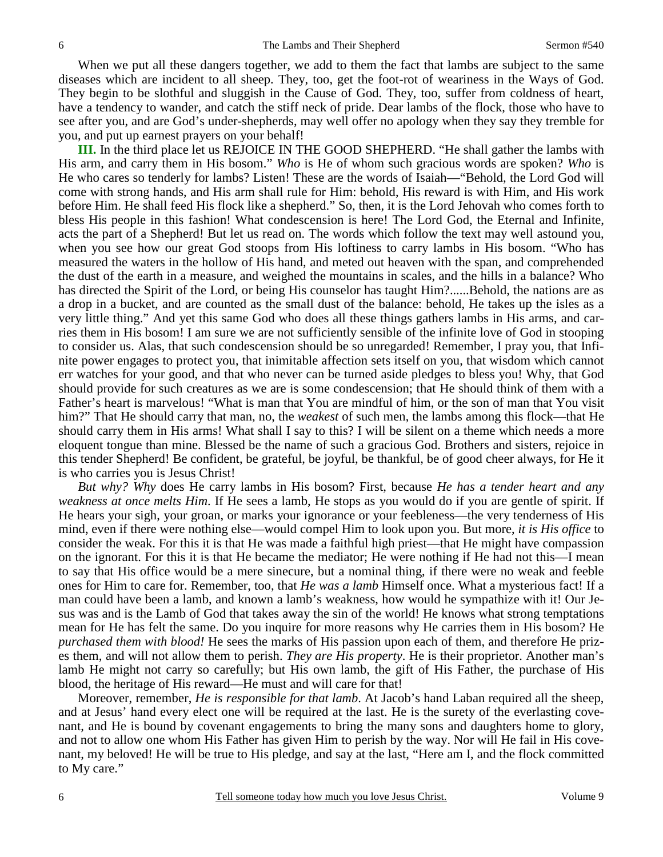When we put all these dangers together, we add to them the fact that lambs are subject to the same diseases which are incident to all sheep. They, too, get the foot-rot of weariness in the Ways of God. They begin to be slothful and sluggish in the Cause of God. They, too, suffer from coldness of heart, have a tendency to wander, and catch the stiff neck of pride. Dear lambs of the flock, those who have to see after you, and are God's under-shepherds, may well offer no apology when they say they tremble for you, and put up earnest prayers on your behalf!

**III.** In the third place let us REJOICE IN THE GOOD SHEPHERD. "He shall gather the lambs with His arm, and carry them in His bosom." *Who* is He of whom such gracious words are spoken? *Who* is He who cares so tenderly for lambs? Listen! These are the words of Isaiah—"Behold, the Lord God will come with strong hands, and His arm shall rule for Him: behold, His reward is with Him, and His work before Him. He shall feed His flock like a shepherd." So, then, it is the Lord Jehovah who comes forth to bless His people in this fashion! What condescension is here! The Lord God, the Eternal and Infinite, acts the part of a Shepherd! But let us read on. The words which follow the text may well astound you, when you see how our great God stoops from His loftiness to carry lambs in His bosom. "Who has measured the waters in the hollow of His hand, and meted out heaven with the span, and comprehended the dust of the earth in a measure, and weighed the mountains in scales, and the hills in a balance? Who has directed the Spirit of the Lord, or being His counselor has taught Him?......Behold, the nations are as a drop in a bucket, and are counted as the small dust of the balance: behold, He takes up the isles as a very little thing." And yet this same God who does all these things gathers lambs in His arms, and carries them in His bosom! I am sure we are not sufficiently sensible of the infinite love of God in stooping to consider us. Alas, that such condescension should be so unregarded! Remember, I pray you, that Infinite power engages to protect you, that inimitable affection sets itself on you, that wisdom which cannot err watches for your good, and that who never can be turned aside pledges to bless you! Why, that God should provide for such creatures as we are is some condescension; that He should think of them with a Father's heart is marvelous! "What is man that You are mindful of him, or the son of man that You visit him?" That He should carry that man, no, the *weakest* of such men, the lambs among this flock—that He should carry them in His arms! What shall I say to this? I will be silent on a theme which needs a more eloquent tongue than mine. Blessed be the name of such a gracious God. Brothers and sisters, rejoice in this tender Shepherd! Be confident, be grateful, be joyful, be thankful, be of good cheer always, for He it is who carries you is Jesus Christ!

*But why? Why* does He carry lambs in His bosom? First, because *He has a tender heart and any weakness at once melts Him*. If He sees a lamb, He stops as you would do if you are gentle of spirit. If He hears your sigh, your groan, or marks your ignorance or your feebleness—the very tenderness of His mind, even if there were nothing else—would compel Him to look upon you. But more, *it is His office* to consider the weak. For this it is that He was made a faithful high priest—that He might have compassion on the ignorant. For this it is that He became the mediator; He were nothing if He had not this—I mean to say that His office would be a mere sinecure, but a nominal thing, if there were no weak and feeble ones for Him to care for. Remember, too, that *He was a lamb* Himself once. What a mysterious fact! If a man could have been a lamb, and known a lamb's weakness, how would he sympathize with it! Our Jesus was and is the Lamb of God that takes away the sin of the world! He knows what strong temptations mean for He has felt the same. Do you inquire for more reasons why He carries them in His bosom? He *purchased them with blood!* He sees the marks of His passion upon each of them, and therefore He prizes them, and will not allow them to perish. *They are His property*. He is their proprietor. Another man's lamb He might not carry so carefully; but His own lamb, the gift of His Father, the purchase of His blood, the heritage of His reward—He must and will care for that!

Moreover, remember, *He is responsible for that lamb*. At Jacob's hand Laban required all the sheep, and at Jesus' hand every elect one will be required at the last. He is the surety of the everlasting covenant, and He is bound by covenant engagements to bring the many sons and daughters home to glory, and not to allow one whom His Father has given Him to perish by the way. Nor will He fail in His covenant, my beloved! He will be true to His pledge, and say at the last, "Here am I, and the flock committed to My care."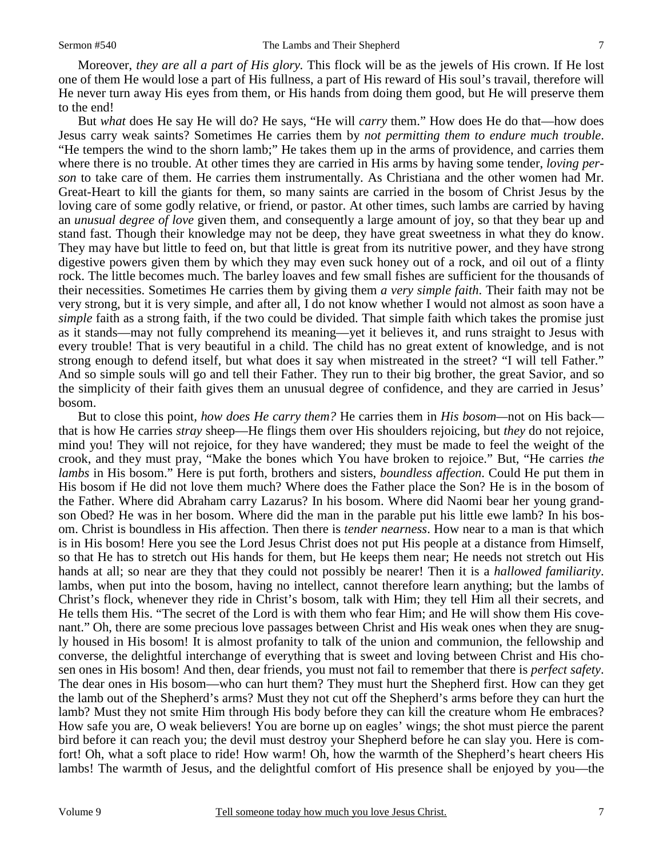Moreover, *they are all a part of His glory.* This flock will be as the jewels of His crown. If He lost one of them He would lose a part of His fullness, a part of His reward of His soul's travail, therefore will He never turn away His eyes from them, or His hands from doing them good, but He will preserve them to the end!

But *what* does He say He will do? He says, "He will *carry* them." How does He do that—how does Jesus carry weak saints? Sometimes He carries them by *not permitting them to endure much trouble*. "He tempers the wind to the shorn lamb;" He takes them up in the arms of providence, and carries them where there is no trouble. At other times they are carried in His arms by having some tender, *loving person* to take care of them. He carries them instrumentally. As Christiana and the other women had Mr. Great-Heart to kill the giants for them, so many saints are carried in the bosom of Christ Jesus by the loving care of some godly relative, or friend, or pastor. At other times, such lambs are carried by having an *unusual degree of love* given them, and consequently a large amount of joy, so that they bear up and stand fast. Though their knowledge may not be deep, they have great sweetness in what they do know. They may have but little to feed on, but that little is great from its nutritive power, and they have strong digestive powers given them by which they may even suck honey out of a rock, and oil out of a flinty rock. The little becomes much. The barley loaves and few small fishes are sufficient for the thousands of their necessities. Sometimes He carries them by giving them *a very simple faith*. Their faith may not be very strong, but it is very simple, and after all, I do not know whether I would not almost as soon have a *simple* faith as a strong faith, if the two could be divided. That simple faith which takes the promise just as it stands—may not fully comprehend its meaning—yet it believes it, and runs straight to Jesus with every trouble! That is very beautiful in a child. The child has no great extent of knowledge, and is not strong enough to defend itself, but what does it say when mistreated in the street? "I will tell Father." And so simple souls will go and tell their Father. They run to their big brother, the great Savior, and so the simplicity of their faith gives them an unusual degree of confidence, and they are carried in Jesus' bosom.

But to close this point, *how does He carry them?* He carries them in *His bosom—*not on His back that is how He carries *stray* sheep—He flings them over His shoulders rejoicing, but *they* do not rejoice, mind you! They will not rejoice, for they have wandered; they must be made to feel the weight of the crook, and they must pray, "Make the bones which You have broken to rejoice." But, "He carries *the lambs* in His bosom." Here is put forth, brothers and sisters, *boundless affection*. Could He put them in His bosom if He did not love them much? Where does the Father place the Son? He is in the bosom of the Father. Where did Abraham carry Lazarus? In his bosom. Where did Naomi bear her young grandson Obed? He was in her bosom. Where did the man in the parable put his little ewe lamb? In his bosom. Christ is boundless in His affection. Then there is *tender nearness*. How near to a man is that which is in His bosom! Here you see the Lord Jesus Christ does not put His people at a distance from Himself, so that He has to stretch out His hands for them, but He keeps them near; He needs not stretch out His hands at all; so near are they that they could not possibly be nearer! Then it is a *hallowed familiarity*. lambs, when put into the bosom, having no intellect, cannot therefore learn anything; but the lambs of Christ's flock, whenever they ride in Christ's bosom, talk with Him; they tell Him all their secrets, and He tells them His. "The secret of the Lord is with them who fear Him; and He will show them His covenant." Oh, there are some precious love passages between Christ and His weak ones when they are snugly housed in His bosom! It is almost profanity to talk of the union and communion, the fellowship and converse, the delightful interchange of everything that is sweet and loving between Christ and His chosen ones in His bosom! And then, dear friends, you must not fail to remember that there is *perfect safety*. The dear ones in His bosom—who can hurt them? They must hurt the Shepherd first. How can they get the lamb out of the Shepherd's arms? Must they not cut off the Shepherd's arms before they can hurt the lamb? Must they not smite Him through His body before they can kill the creature whom He embraces? How safe you are, O weak believers! You are borne up on eagles' wings; the shot must pierce the parent bird before it can reach you; the devil must destroy your Shepherd before he can slay you. Here is comfort! Oh, what a soft place to ride! How warm! Oh, how the warmth of the Shepherd's heart cheers His lambs! The warmth of Jesus, and the delightful comfort of His presence shall be enjoyed by you—the